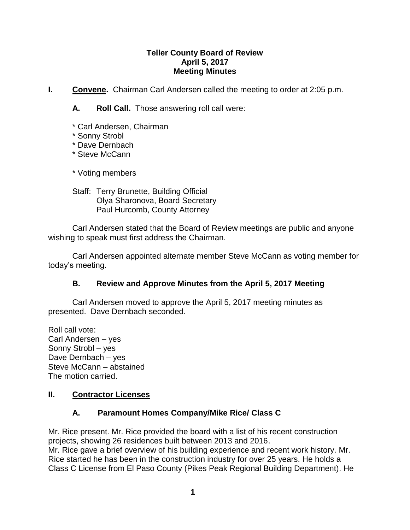### **Teller County Board of Review April 5, 2017 Meeting Minutes**

**I. Convene.** Chairman Carl Andersen called the meeting to order at 2:05 p.m.

**A. Roll Call.** Those answering roll call were:

- \* Carl Andersen, Chairman
- \* Sonny Strobl
- \* Dave Dernbach
- \* Steve McCann

\* Voting members

Staff: Terry Brunette, Building Official Olya Sharonova, Board Secretary Paul Hurcomb, County Attorney

Carl Andersen stated that the Board of Review meetings are public and anyone wishing to speak must first address the Chairman.

Carl Andersen appointed alternate member Steve McCann as voting member for today's meeting.

## **B. Review and Approve Minutes from the April 5, 2017 Meeting**

Carl Andersen moved to approve the April 5, 2017 meeting minutes as presented. Dave Dernbach seconded.

Roll call vote: Carl Andersen – yes Sonny Strobl – yes Dave Dernbach – yes Steve McCann – abstained The motion carried.

## **II. Contractor Licenses**

## **A. Paramount Homes Company/Mike Rice/ Class C**

Mr. Rice present. Mr. Rice provided the board with a list of his recent construction projects, showing 26 residences built between 2013 and 2016. Mr. Rice gave a brief overview of his building experience and recent work history. Mr. Rice started he has been in the construction industry for over 25 years. He holds a Class C License from El Paso County (Pikes Peak Regional Building Department). He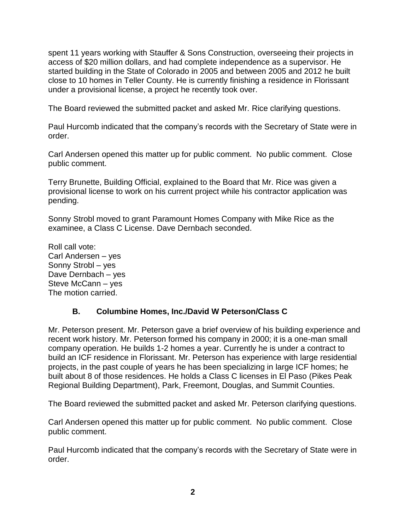spent 11 years working with Stauffer & Sons Construction, overseeing their projects in access of \$20 million dollars, and had complete independence as a supervisor. He started building in the State of Colorado in 2005 and between 2005 and 2012 he built close to 10 homes in Teller County. He is currently finishing a residence in Florissant under a provisional license, a project he recently took over.

The Board reviewed the submitted packet and asked Mr. Rice clarifying questions.

Paul Hurcomb indicated that the company's records with the Secretary of State were in order.

Carl Andersen opened this matter up for public comment. No public comment. Close public comment.

Terry Brunette, Building Official, explained to the Board that Mr. Rice was given a provisional license to work on his current project while his contractor application was pending.

Sonny Strobl moved to grant Paramount Homes Company with Mike Rice as the examinee, a Class C License. Dave Dernbach seconded.

Roll call vote: Carl Andersen – yes Sonny Strobl – yes Dave Dernbach – yes Steve McCann – yes The motion carried.

## **B. Columbine Homes, Inc./David W Peterson/Class C**

Mr. Peterson present. Mr. Peterson gave a brief overview of his building experience and recent work history. Mr. Peterson formed his company in 2000; it is a one-man small company operation. He builds 1-2 homes a year. Currently he is under a contract to build an ICF residence in Florissant. Mr. Peterson has experience with large residential projects, in the past couple of years he has been specializing in large ICF homes; he built about 8 of those residences. He holds a Class C licenses in El Paso (Pikes Peak Regional Building Department), Park, Freemont, Douglas, and Summit Counties.

The Board reviewed the submitted packet and asked Mr. Peterson clarifying questions.

Carl Andersen opened this matter up for public comment. No public comment. Close public comment.

Paul Hurcomb indicated that the company's records with the Secretary of State were in order.